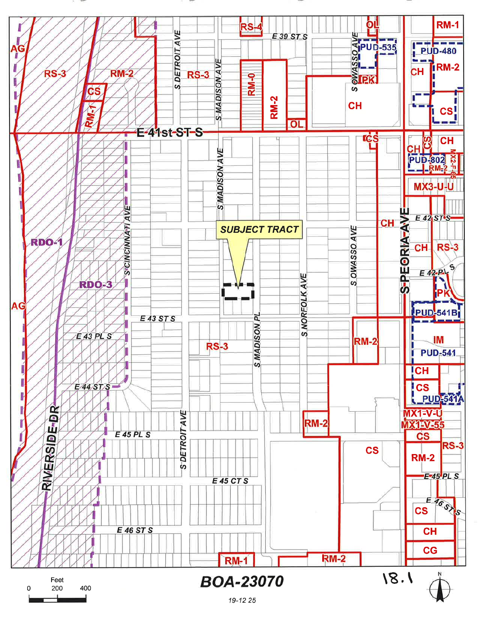#### Ól **RM-1** RS-**AVELON**<br> **ENGINEER**<br> **ENGINEER**<br> **ENGINEER DETROIT AVE** E 39 ST S **PUD-480** c j **SMADISON AVE** IRM-2 CН **RS-3 RM-2**  $RS-3$ **RM-0** S cs S **RM-2 CH** CS. ≅  $\overline{O}$ -E-41st-ST-S rċs **O CH** CHL<br>PUD-802<br>PUD-802 S MADISON AVE  $X2-F$ **MX3-U-U S"CINCINNATI AVE** S-PEORIA-AVE  $E 42$ <sub>ST</sub>S **CH SUBJECT TRACT** OWASSO AVE **RDO-1 CH RS-3**  $E$  42- $P$ AVE  $\omega$ **RDO-3 S.NORFOLK** iPK AG **PUD-541B** E 43 ST S p **NOSIGNWS**  $E$  43 PL S IM **RM-2**  $RS-3$ **PUD-541** Ţ **CH** E 44 ST S **CS PUD-541** RIVERSIDE-DR MX1=V=U **S DETROIT AVE** RM-2 **MX1-V-55 E 45 PL S**  $\mathbf{c}\mathbf{s}$  $RS-3$ **CS RM-2** E-45 PL S **E45 CTS**  $E = 460$ **CS** E 46 ST S **CH CG RM-2 RM-1**  $18.1$ **BOA-23070** Feet 200 400  $\Omega$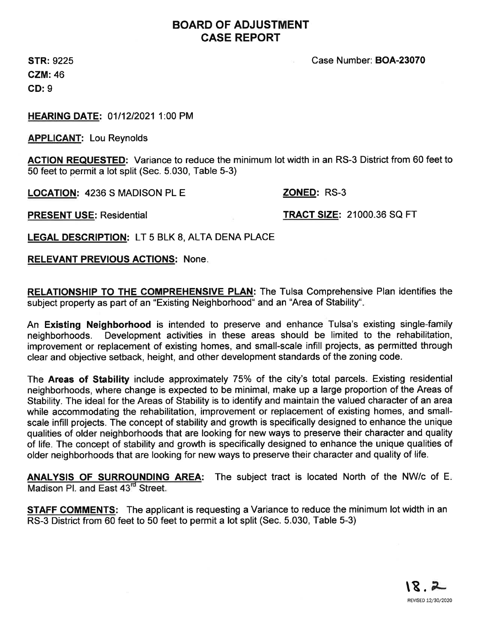### BOARD OF ADJUSTMENT CASE REPORT

STR: 9225 CZM:46 CD: 9

Case Number: BOA-23070

HEARING DATE: 01/12/2021 1:00 PM

APPLICANT: Lou Reynolds

ACTION REQUESTED: Variance to reduce the minimum lot width in an RS-3 District from 60 feet to 50 feet to permit a lot split (Sec. 5.030, Table 5-3)

LOCATION: 4236 S MADISON PL E ZONED: RS-3

PRESENT USE: Residential TRACT SIZE: 21000.36 SQ FT

LEGAL DESCRIPTION: LT 5 BLK 8, ALTA DENA PLACE

#### RELEVANT PREVIOUS ACTIONS: None

RELATIONSHIP TO THE COMPREHENSIVE PLAN: The Tulsa Comprehensive Plan identifies the subject property as part of an "Existing Neighborhood" and an "Area of Stability".

An Existing Neighborhood is intended to preserve and enhance Tulsa's existing single-family neighborhoods. Development activities in these areas should be limited to the rehabilitation, improvement or replacement of existing homes, and small-scale infill projects, as permitted through clear and objective setback, height, and other development standards of the zoning code.

The Areas of Stability include approximately 75% of the city's total parcels. Existing residential neighborhoods, where change is expected to be minimal, make up a large proportion of the Areas of Stability. The ideal for the Areas of Stability is to identify and maintain the valued character of an area while accommodating the rehabilitation, improvement or replacement of existing homes, and smallscale infill projects. The concept of stability and growth is specifically designed to enhance the unique qualities of older neighborhoods that are looking for new ways to preserve their character and quality of life. The concept of stability and growth is specifically designed to enhance the unique qualities of older neighborhoods that are looking for new ways to preserve their character and quality of life.

ANALYSIS OF SURROUNDING AREA: The subject tract is located North of the NW/c of E.<br>Madison PL and East 43<sup>rd</sup> Street.

**STAFF COMMENTS:** The applicant is requesting a Variance to reduce the minimum lot width in an RS-3 District from 60 feet to 50 feet to permit a lot split (Sec. 5.030, Table 5-3)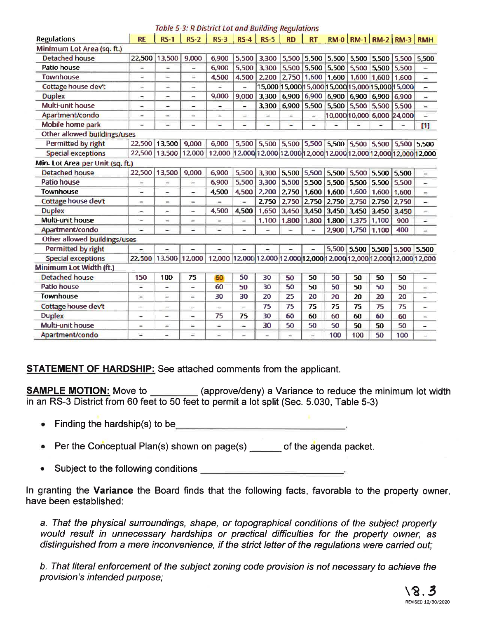#### Table 5-3: R District Lot and Building Regulations

| <b>Regulations</b>               | <b>RE</b>                | <b>RS-1</b>              | $RS-2$                   | $RS-3$                                                                |                          | $RS-4$ RS-5                                                    | <b>RD</b> | <b>RT</b>         |       | RM-0   RM-1   RM-2   RM-3   RMH                  |       |                   |                          |
|----------------------------------|--------------------------|--------------------------|--------------------------|-----------------------------------------------------------------------|--------------------------|----------------------------------------------------------------|-----------|-------------------|-------|--------------------------------------------------|-------|-------------------|--------------------------|
| Minimum Lot Area (sq. ft.)       |                          |                          |                          |                                                                       |                          |                                                                |           |                   |       |                                                  |       |                   |                          |
| <b>Detached house</b>            |                          | 22,500 13,500            | 9,000                    | 6,900                                                                 | 5,500                    | 3,300                                                          |           | 5,500 5,500 5,500 |       | 5,500                                            |       | 5,500 5,500 5,500 |                          |
| Patio house                      | ⋍                        | $\overline{\phantom{a}}$ | ú,                       | 6.900                                                                 | 5,500                    | 3,300                                                          | 5,500     | 5,500             |       | $5,500$ 5,500                                    | 5,500 | 5,500             | ÷,                       |
| <b>Townhouse</b>                 | ÷                        | ÷                        | u,                       | 4,500                                                                 | 4,500                    | 2,200                                                          | 2,750     | 1,600             | 1,600 | 1,600                                            | 1,600 | 1,600             | $\overline{a}$           |
| Cottage house dev't              | ۰                        | -                        | -                        | ÷                                                                     | -                        |                                                                |           |                   |       | 15,000 15,000 15,000 15,000 15,000 15,000 15,000 |       |                   | $\overline{\phantom{0}}$ |
| <b>Duplex</b>                    | =                        | -                        | ×,                       | 9.000                                                                 | 9,000                    | 3.300                                                          | 6.900     | 6,900             |       | 6,900 6,900                                      |       | 6,900 6,900       | $\overline{\phantom{a}}$ |
| Multi-unit house                 | $\overline{\phantom{a}}$ | -                        | -                        | ۰                                                                     | ÷                        | 3,300                                                          | 6,900     | 5,500             |       | 5,500 5,500                                      | 5,500 | 5,500             | $\frac{1}{2}$            |
| Apartment/condo                  | ۰                        | -                        | w.                       | $\overline{\phantom{a}}$                                              | -                        | -                                                              | -         | ۰                 |       | 10,000 10,000 6,000 24,000                       |       |                   | $\overline{\phantom{a}}$ |
| Mobile home park                 | Ξ                        |                          |                          |                                                                       |                          |                                                                |           |                   |       |                                                  |       |                   | $[1]$                    |
| Other allowed buildings/uses     |                          |                          |                          |                                                                       |                          |                                                                |           |                   |       |                                                  |       |                   |                          |
| Permitted by right               | 22,500                   | 13,500                   | 9.000                    | 6,900                                                                 |                          | 5,500 5,500 5,500 5,500 5,500 5,500 5,500 5,500 5,500          |           |                   |       |                                                  |       |                   |                          |
| <b>Special exceptions</b>        | 22,500                   | 13,500                   | 12,000                   | 12,000                                                                |                          | 12,000 12,000 12,000 12,000 12,000 12,000 12,000 12,000 12,000 |           |                   |       |                                                  |       |                   |                          |
| Min. Lot Area per Unit (sq. ft.) |                          |                          |                          |                                                                       |                          |                                                                |           |                   |       |                                                  |       |                   |                          |
| <b>Detached house</b>            | 22,500                   | 13,500                   | 9,000                    | 6,900                                                                 | 5,500                    | 3,300                                                          | 5,500     | 5,500             | 5,500 | 5,500                                            |       | 5,500 5,500       | $\overline{\phantom{0}}$ |
| Patio house                      | ÷                        | ۰                        | -                        | 6.900                                                                 | 5,500                    | 3,300                                                          | 5,500     | 5,500             | 5,500 | 5,500                                            | 5,500 | 5,500             | -                        |
| <b>Townhouse</b>                 | -                        | $\overline{\phantom{a}}$ | -                        | 4,500                                                                 | 4,500                    | 2,200                                                          | 2,750     | 1,600             | 1,600 | 1,600                                            | 1,600 | 1,600             | ۳                        |
| Cottage house dev't              | $\overline{\phantom{a}}$ | $\equiv$                 | $\overline{\phantom{a}}$ |                                                                       |                          | 2.750                                                          | 2,750     | 2,750             | 2,750 | 2.750                                            | 2,750 | 2,750             | $\leftarrow$             |
| <b>Duplex</b>                    | $\overline{\phantom{0}}$ | $\rightarrow$            | ÷                        | 4.500                                                                 | 4,500                    | 1,650                                                          | 3,450     | 3,450             | 3,450 | 3,450                                            | 3,450 | 3,450             | $\equiv$                 |
| Multi-unit house                 | -                        | u,                       | ÷                        | -                                                                     |                          | 1,100                                                          | 1,800     | 1,800             | 1,800 | 1,375                                            | 1,100 | 900               | ÷                        |
| Apartment/condo                  |                          | ÷                        |                          | ۷                                                                     |                          |                                                                |           |                   | 2,900 | 1,750                                            | 1,100 | 400               | $\overline{\phantom{a}}$ |
| Other allowed buildings/uses     |                          |                          |                          |                                                                       |                          |                                                                |           |                   |       |                                                  |       |                   |                          |
| Permitted by right               |                          | -                        |                          |                                                                       |                          |                                                                |           | ÷                 | 5,500 |                                                  |       | 5,500 5,500 5,500 | 5,500                    |
| <b>Special exceptions</b>        | 22,500                   |                          | 13,500 12,000            | 12,000 12,000 12,000 12,000 12,000 12,000 12,000 12,000 12,000 12,000 |                          |                                                                |           |                   |       |                                                  |       |                   |                          |
| Minimum Lot Width (ft.)          |                          |                          |                          |                                                                       |                          |                                                                |           |                   |       |                                                  |       |                   |                          |
| <b>Detached house</b>            | 150                      | 100                      | 75                       | 60                                                                    | 50                       | 30                                                             | 50        | 50                | 50    | 50                                               | 50    | 50                | $\equiv$                 |
| <b>Patio house</b>               |                          | ÷                        |                          | 60                                                                    | 50                       | 30                                                             | 50        | 50                | 50    | 50                                               | 50    | 50                | ÷                        |
| Townhouse                        | $\overline{ }$           | ۰.                       | $\overline{\phantom{0}}$ | 30                                                                    | 30                       | 20                                                             | 25        | 20                | 20    | 20                                               | 20    | 20                | $\equiv$                 |
| <b>Cottage house dev't</b>       | ÷                        | $\blacksquare$           | $\overline{\phantom{a}}$ | -                                                                     | $\overline{\phantom{a}}$ | 75                                                             | 75        | 75                | 75    | 75                                               | 75    | 75                | ÷                        |
| <b>Duplex</b>                    | -                        | u,                       | ÷                        | 75                                                                    | 75                       | 30                                                             | 60        | 60                | 60    | 60                                               | 60    | 60                | $\overline{\phantom{a}}$ |
| Multi-unit house                 | $\overline{\phantom{0}}$ | ÷                        | ×                        | $\overline{\phantom{a}}$                                              | ×                        | 30                                                             | 50        | 50                | 50    | 50                                               | 50    | 50                | $\overline{\phantom{a}}$ |
| Apartment/condo                  | Ξ                        | ×                        | Ξ                        | ÷                                                                     | -                        | ۰                                                              |           | -                 | 100   | 100                                              | 50    | 100               |                          |

#### **STATEMENT OF HARDSHIP:** See attached comments from the applicant.

**SAMPLE MOTION:** Move to (approve/deny) a Variance to reduce the minimum lot width in an RS-3 District from 60 feet to 50 feet to permit a lot split (Sec. 5.030, Table 5-3)

- Finding the hardship(s) to be example a set of the set of the set of the set of the set of the set of the set of the set of the set of the set of the set of the set of the set of the set of the set of the set of the set of  $\bullet$
- Per the Conceptual Plan(s) shown on page(s) \_\_\_\_\_\_ of the agenda packet.  $\bullet$
- Subject to the following conditions **Subject to the following conditions**

In granting the Variance the Board finds that the following facts, favorable to the property owner, have been established:

a. That the physical surroundings, shape, or topographical conditions of the subject property would result in unnecessary hardships or practical difficulties for the property owner, as distinguished from a mere inconvenience, if the strict letter of the regulations were carried out;

b. That literal enforcement of the subject zoning code provision is not necessary to achieve the provision's intended purpose;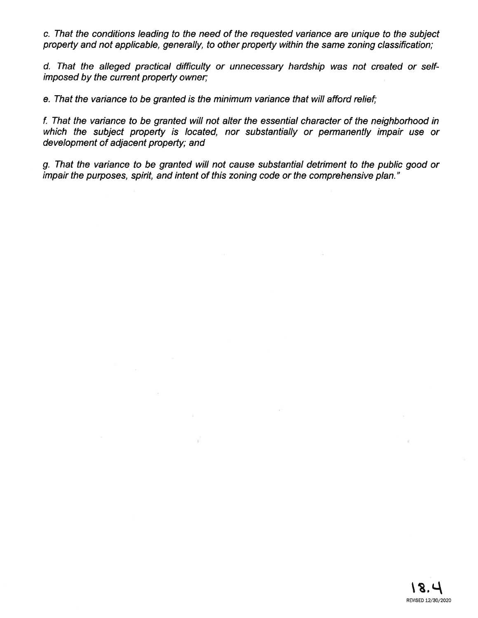c. That the conditions leading to the need of the requested variance are unique to the subject propefty and not applicable, generally, to other property within the same zoníng classification;

d. That the alleged practical difficulty or unnecessary hardship was not created or selfimposed by the current property owner;

e. That the variance to be granted is the minimum variance that will afford relief;

 $\sim$ 

- Vita

f. That the variance to be granted wíll not alter fhe essential character of the neighborhood in which the subject property is located, nor substantially or permanently impair use or development of adjacent property; and

g. That the variance to be granted will not cause substantial detriment to the public good or impair the purposes, spirit, and intent of this zoning code or the comprehensive plan."

 $\mathcal{A}$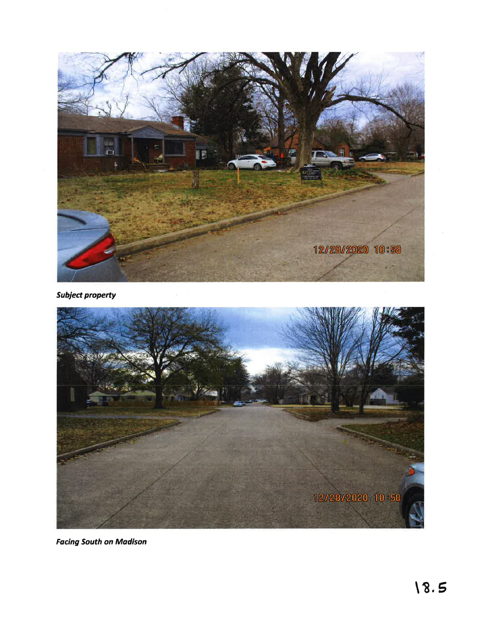

**Subject property** 



**Facing South on Madison**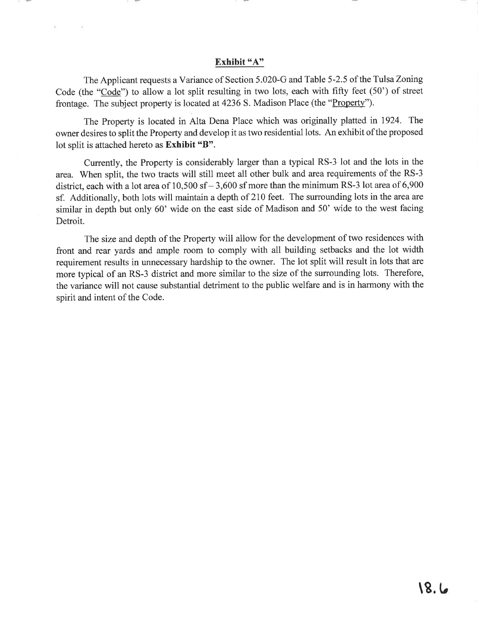#### Exhibit "A"

- W

The Applicant requests a Variance of Section 5.020-G and Table 5-2.5 of the Tulsa Zoning Code (the "Code") to allow a lot split resulting in two lots, each with fifty feet (50') of street frontage. The subject property is located at 4236 S. Madison Place (the "Property").

The Property is located in Alta Dena Place which was originally platted in 1924. The owner desires to split the Property and develop it as two residential lots. An exhibit of the proposed lot split is attached hereto as Exhibit "B".

Currently, the Property is considerably larger than a typical RS-3 lot and the lots in the area. When split, the two tracts will still meet all other bulk and area requirements of the RS-3 district, each with a lot area of  $10,500$  sf  $- 3,600$  sf more than the minimum RS-3 lot area of 6,900 sf. Additionally, both lots will maintain a depth of 210 feet. The surrounding lots in the area are similar in depth but only 60' wide on the east side of Madison and 50' wide to the west facing Detroit.

The size and depth of the Property will allow for the development of two residences with front and rear yards and ample room to comply with all building setbacks and the lot width requirement results in unnecessary hardship to the owner. The lot split will result in lots that are more typical of an RS-3 district and more similar to the size of the surrounding lots. Therefore, the variance will not cause substantial detriment to the public welfare and is in harmony with the spirit and intent of the Code.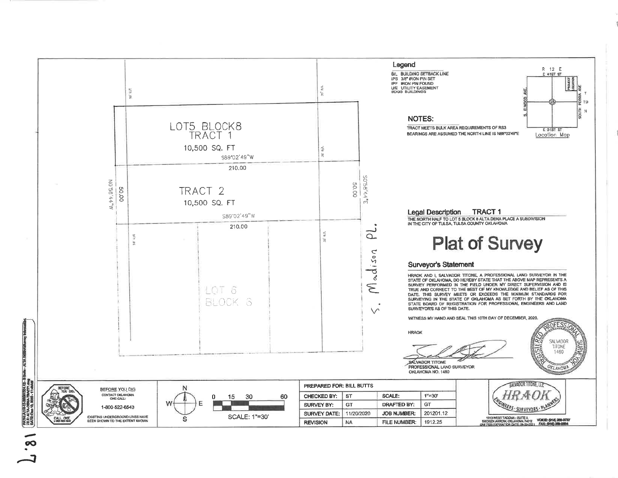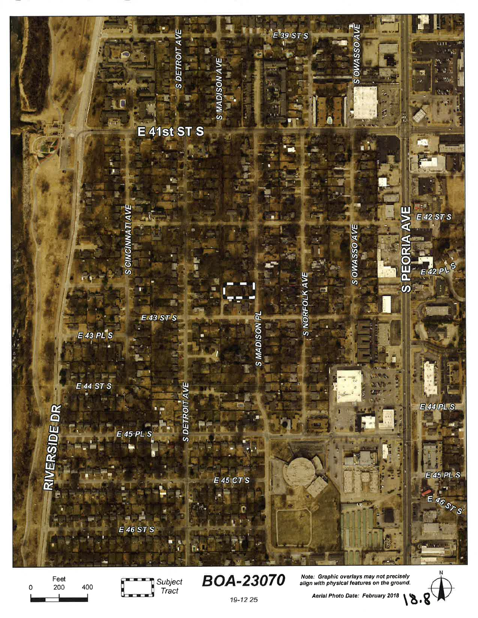

Feet  $\mathbf 0$ 200 400 m Subject Tract

**BOA-23070** 

19-12 25

Note: Graphic overlays may not precisely align with physical features on the ground.

 $18.8$ 

Aerial Photo Date: February 2018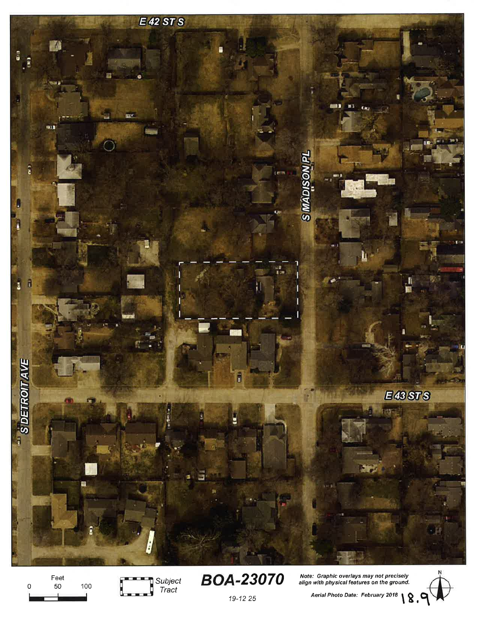

Feet 50 100  $\mathsf 0$ 



**BOA-23070** 

19-12 25

Note: Graphic overlays may not precisely<br>align with physical features on the ground.

Aerial Photo Date: February 2018 8.9